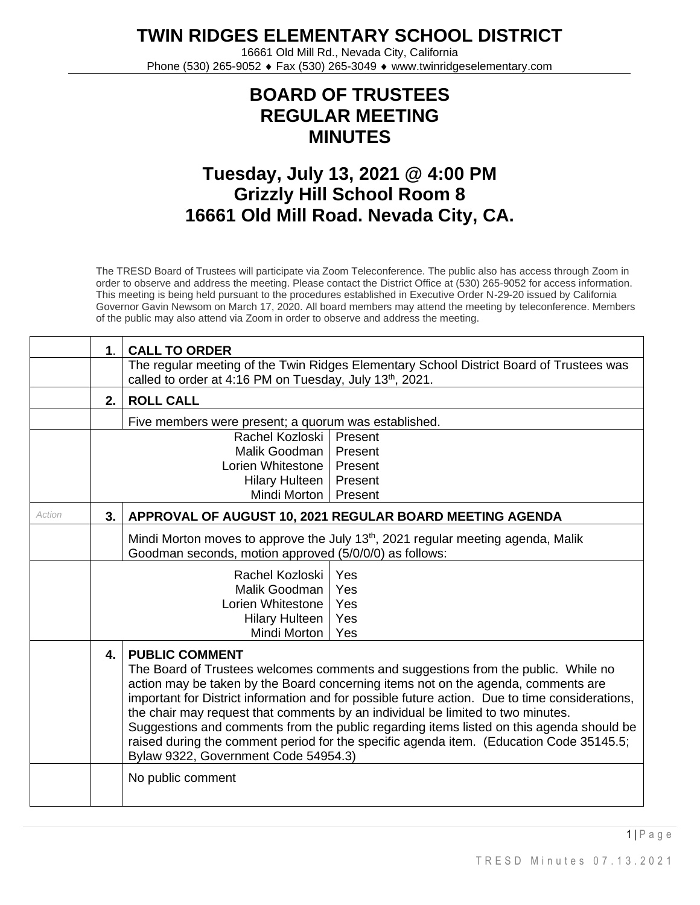**TWIN RIDGES ELEMENTARY SCHOOL DISTRICT**

16661 Old Mill Rd., Nevada City, California Phone (530) 265-9052 ♦ Fax (530) 265-3049 ♦ www.twinridgeselementary.com

## **BOARD OF TRUSTEES REGULAR MEETING MINUTES**

## **Tuesday, July 13, 2021 @ 4:00 PM Grizzly Hill School Room 8 16661 Old Mill Road. Nevada City, CA.**

The TRESD Board of Trustees will participate via Zoom Teleconference. The public also has access through Zoom in order to observe and address the meeting. Please contact the District Office at (530) 265-9052 for access information. This meeting is being held pursuant to the procedures established in Executive Order N-29-20 issued by California Governor Gavin Newsom on March 17, 2020. All board members may attend the meeting by teleconference. Members of the public may also attend via Zoom in order to observe and address the meeting.

|        | 1 <sub>1</sub> | <b>CALL TO ORDER</b>                                                                                                                                                                                                                                                                                                                                                                                                                                                                                                                                                                                                |  |  |
|--------|----------------|---------------------------------------------------------------------------------------------------------------------------------------------------------------------------------------------------------------------------------------------------------------------------------------------------------------------------------------------------------------------------------------------------------------------------------------------------------------------------------------------------------------------------------------------------------------------------------------------------------------------|--|--|
|        |                | The regular meeting of the Twin Ridges Elementary School District Board of Trustees was<br>called to order at 4:16 PM on Tuesday, July 13 <sup>th</sup> , 2021.                                                                                                                                                                                                                                                                                                                                                                                                                                                     |  |  |
|        | 2.             | <b>ROLL CALL</b>                                                                                                                                                                                                                                                                                                                                                                                                                                                                                                                                                                                                    |  |  |
|        |                | Five members were present; a quorum was established.                                                                                                                                                                                                                                                                                                                                                                                                                                                                                                                                                                |  |  |
|        |                | Rachel Kozloski<br>Present<br>Malik Goodman<br>Present<br>Lorien Whitestone<br>Present<br><b>Hilary Hulteen</b><br>Present<br>Mindi Morton<br>Present                                                                                                                                                                                                                                                                                                                                                                                                                                                               |  |  |
| Action | 3.             | APPROVAL OF AUGUST 10, 2021 REGULAR BOARD MEETING AGENDA                                                                                                                                                                                                                                                                                                                                                                                                                                                                                                                                                            |  |  |
|        |                | Mindi Morton moves to approve the July 13 <sup>th</sup> , 2021 regular meeting agenda, Malik<br>Goodman seconds, motion approved (5/0/0/0) as follows:<br>Yes<br>Rachel Kozloski<br>Yes<br>Malik Goodman<br>Lorien Whitestone<br>Yes<br>Yes<br><b>Hilary Hulteen</b><br>Mindi Morton<br>Yes                                                                                                                                                                                                                                                                                                                         |  |  |
|        | $\mathbf{4}$   | <b>PUBLIC COMMENT</b><br>The Board of Trustees welcomes comments and suggestions from the public. While no<br>action may be taken by the Board concerning items not on the agenda, comments are<br>important for District information and for possible future action. Due to time considerations,<br>the chair may request that comments by an individual be limited to two minutes.<br>Suggestions and comments from the public regarding items listed on this agenda should be<br>raised during the comment period for the specific agenda item. (Education Code 35145.5;<br>Bylaw 9322, Government Code 54954.3) |  |  |
|        |                | No public comment                                                                                                                                                                                                                                                                                                                                                                                                                                                                                                                                                                                                   |  |  |

 $1 \mid P$  a g e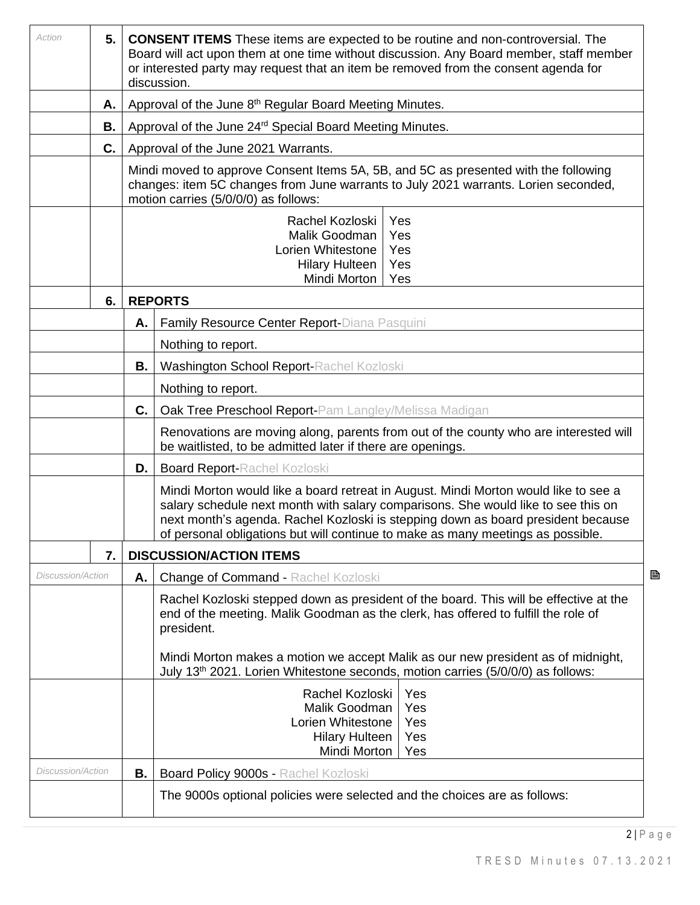| Action                               | 5.1 | <b>CONSENT ITEMS</b> These items are expected to be routine and non-controversial. The<br>Board will act upon them at one time without discussion. Any Board member, staff member<br>or interested party may request that an item be removed from the consent agenda for<br>discussion. |                                                                                                                                                                                                                                                                                                                                                 |  |  |  |
|--------------------------------------|-----|-----------------------------------------------------------------------------------------------------------------------------------------------------------------------------------------------------------------------------------------------------------------------------------------|-------------------------------------------------------------------------------------------------------------------------------------------------------------------------------------------------------------------------------------------------------------------------------------------------------------------------------------------------|--|--|--|
|                                      | Α.  |                                                                                                                                                                                                                                                                                         | Approval of the June 8 <sup>th</sup> Regular Board Meeting Minutes.                                                                                                                                                                                                                                                                             |  |  |  |
|                                      | В.  |                                                                                                                                                                                                                                                                                         | Approval of the June 24 <sup>rd</sup> Special Board Meeting Minutes.                                                                                                                                                                                                                                                                            |  |  |  |
|                                      | C.  |                                                                                                                                                                                                                                                                                         | Approval of the June 2021 Warrants.                                                                                                                                                                                                                                                                                                             |  |  |  |
| motion carries (5/0/0/0) as follows: |     |                                                                                                                                                                                                                                                                                         | Mindi moved to approve Consent Items 5A, 5B, and 5C as presented with the following<br>changes: item 5C changes from June warrants to July 2021 warrants. Lorien seconded,                                                                                                                                                                      |  |  |  |
|                                      |     |                                                                                                                                                                                                                                                                                         | Rachel Kozloski<br>Yes<br>Malik Goodman<br>Yes<br>Lorien Whitestone<br>Yes<br><b>Hilary Hulteen</b><br>Yes<br>Mindi Morton<br>Yes                                                                                                                                                                                                               |  |  |  |
|                                      | 6.  |                                                                                                                                                                                                                                                                                         | <b>REPORTS</b>                                                                                                                                                                                                                                                                                                                                  |  |  |  |
|                                      |     | Α.                                                                                                                                                                                                                                                                                      | Family Resource Center Report-Diana Pasquini                                                                                                                                                                                                                                                                                                    |  |  |  |
|                                      |     |                                                                                                                                                                                                                                                                                         | Nothing to report.                                                                                                                                                                                                                                                                                                                              |  |  |  |
|                                      |     | В.                                                                                                                                                                                                                                                                                      | <b>Washington School Report-Rachel Kozloski</b>                                                                                                                                                                                                                                                                                                 |  |  |  |
|                                      |     |                                                                                                                                                                                                                                                                                         | Nothing to report.                                                                                                                                                                                                                                                                                                                              |  |  |  |
|                                      |     | C.                                                                                                                                                                                                                                                                                      | Oak Tree Preschool Report-Pam Langley/Melissa Madigan                                                                                                                                                                                                                                                                                           |  |  |  |
|                                      |     |                                                                                                                                                                                                                                                                                         | Renovations are moving along, parents from out of the county who are interested will<br>be waitlisted, to be admitted later if there are openings.                                                                                                                                                                                              |  |  |  |
|                                      |     | D.                                                                                                                                                                                                                                                                                      | <b>Board Report-Rachel Kozloski</b>                                                                                                                                                                                                                                                                                                             |  |  |  |
|                                      |     |                                                                                                                                                                                                                                                                                         | Mindi Morton would like a board retreat in August. Mindi Morton would like to see a<br>salary schedule next month with salary comparisons. She would like to see this on<br>next month's agenda. Rachel Kozloski is stepping down as board president because<br>of personal obligations but will continue to make as many meetings as possible. |  |  |  |
|                                      | 7.  |                                                                                                                                                                                                                                                                                         | <b>DISCUSSION/ACTION ITEMS</b>                                                                                                                                                                                                                                                                                                                  |  |  |  |
| <b>Discussion/Action</b>             |     | А.                                                                                                                                                                                                                                                                                      | B<br><b>Change of Command - Rachel Kozloski</b>                                                                                                                                                                                                                                                                                                 |  |  |  |
|                                      |     |                                                                                                                                                                                                                                                                                         | Rachel Kozloski stepped down as president of the board. This will be effective at the<br>end of the meeting. Malik Goodman as the clerk, has offered to fulfill the role of<br>president.                                                                                                                                                       |  |  |  |
|                                      |     |                                                                                                                                                                                                                                                                                         | Mindi Morton makes a motion we accept Malik as our new president as of midnight,<br>July 13 <sup>th</sup> 2021. Lorien Whitestone seconds, motion carries (5/0/0/0) as follows:                                                                                                                                                                 |  |  |  |
|                                      |     |                                                                                                                                                                                                                                                                                         | Rachel Kozloski<br>Yes<br>Malik Goodman<br>Yes<br>Lorien Whitestone<br>Yes<br><b>Hilary Hulteen</b><br>Yes<br>Mindi Morton<br>Yes                                                                                                                                                                                                               |  |  |  |
| <b>Discussion/Action</b>             |     | В.                                                                                                                                                                                                                                                                                      | Board Policy 9000s - Rachel Kozloski                                                                                                                                                                                                                                                                                                            |  |  |  |
|                                      |     |                                                                                                                                                                                                                                                                                         | The 9000s optional policies were selected and the choices are as follows:                                                                                                                                                                                                                                                                       |  |  |  |

 $2 | P a g e$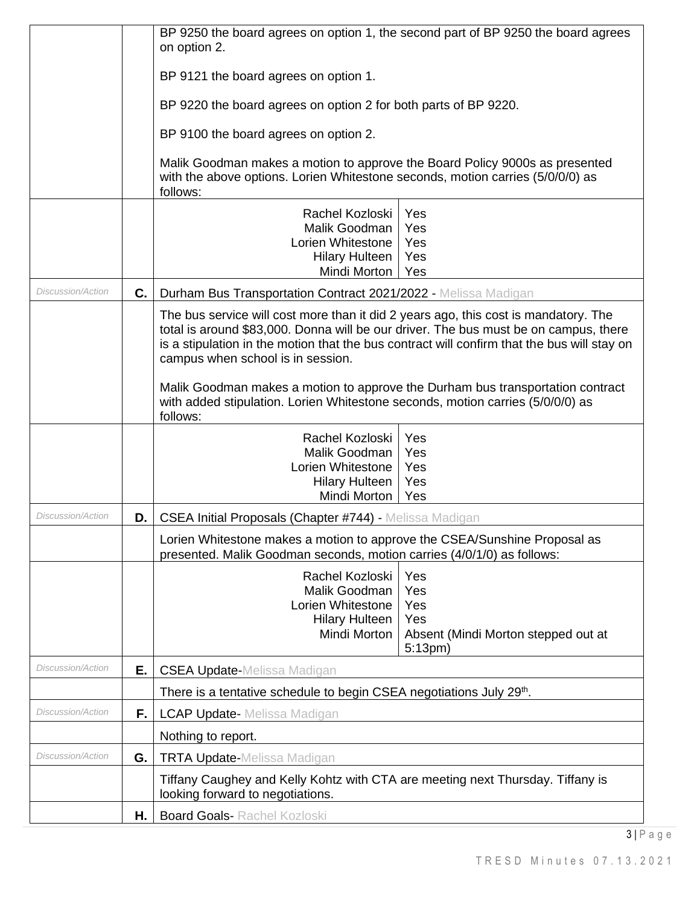|                          |    | BP 9250 the board agrees on option 1, the second part of BP 9250 the board agrees<br>on option 2.                                                                                                                                                                                                               |                                                |
|--------------------------|----|-----------------------------------------------------------------------------------------------------------------------------------------------------------------------------------------------------------------------------------------------------------------------------------------------------------------|------------------------------------------------|
|                          |    | BP 9121 the board agrees on option 1.                                                                                                                                                                                                                                                                           |                                                |
|                          |    | BP 9220 the board agrees on option 2 for both parts of BP 9220.                                                                                                                                                                                                                                                 |                                                |
|                          |    | BP 9100 the board agrees on option 2.                                                                                                                                                                                                                                                                           |                                                |
|                          |    | Malik Goodman makes a motion to approve the Board Policy 9000s as presented                                                                                                                                                                                                                                     |                                                |
|                          |    | with the above options. Lorien Whitestone seconds, motion carries (5/0/0/0) as<br>follows:                                                                                                                                                                                                                      |                                                |
|                          |    | Rachel Kozloski<br>Malik Goodman                                                                                                                                                                                                                                                                                | Yes                                            |
|                          |    | Lorien Whitestone                                                                                                                                                                                                                                                                                               | Yes<br>Yes                                     |
|                          |    | <b>Hilary Hulteen</b>                                                                                                                                                                                                                                                                                           | Yes                                            |
|                          |    | Mindi Morton                                                                                                                                                                                                                                                                                                    | Yes                                            |
| <b>Discussion/Action</b> | C. | Durham Bus Transportation Contract 2021/2022 - Melissa Madigan                                                                                                                                                                                                                                                  |                                                |
|                          |    | The bus service will cost more than it did 2 years ago, this cost is mandatory. The<br>total is around \$83,000. Donna will be our driver. The bus must be on campus, there<br>is a stipulation in the motion that the bus contract will confirm that the bus will stay on<br>campus when school is in session. |                                                |
|                          |    | Malik Goodman makes a motion to approve the Durham bus transportation contract<br>with added stipulation. Lorien Whitestone seconds, motion carries (5/0/0/0) as<br>follows:                                                                                                                                    |                                                |
|                          |    | Rachel Kozloski                                                                                                                                                                                                                                                                                                 | Yes                                            |
|                          |    | Malik Goodman                                                                                                                                                                                                                                                                                                   | Yes                                            |
|                          |    | Lorien Whitestone<br><b>Hilary Hulteen</b>                                                                                                                                                                                                                                                                      | Yes<br>Yes                                     |
|                          |    | Mindi Morton                                                                                                                                                                                                                                                                                                    | Yes                                            |
| <b>Discussion/Action</b> | D. | CSEA Initial Proposals (Chapter #744) - Melissa Madigan                                                                                                                                                                                                                                                         |                                                |
|                          |    | Lorien Whitestone makes a motion to approve the CSEA/Sunshine Proposal as<br>presented. Malik Goodman seconds, motion carries (4/0/1/0) as follows:                                                                                                                                                             |                                                |
|                          |    | Rachel Kozloski                                                                                                                                                                                                                                                                                                 | Yes                                            |
|                          |    | Malik Goodman<br>Lorien Whitestone                                                                                                                                                                                                                                                                              | Yes<br>Yes                                     |
|                          |    | <b>Hilary Hulteen</b>                                                                                                                                                                                                                                                                                           | Yes                                            |
|                          |    | Mindi Morton                                                                                                                                                                                                                                                                                                    | Absent (Mindi Morton stepped out at<br>5:13pm) |
| Discussion/Action        | Е. | <b>CSEA Update-Melissa Madigan</b>                                                                                                                                                                                                                                                                              |                                                |
|                          |    | There is a tentative schedule to begin CSEA negotiations July 29 <sup>th</sup> .                                                                                                                                                                                                                                |                                                |
| <b>Discussion/Action</b> | F. | <b>LCAP Update-</b> Melissa Madigan                                                                                                                                                                                                                                                                             |                                                |
|                          |    | Nothing to report.                                                                                                                                                                                                                                                                                              |                                                |
| <i>Discussion/Action</i> | G. | <b>TRTA Update-Melissa Madigan</b>                                                                                                                                                                                                                                                                              |                                                |
|                          |    | Tiffany Caughey and Kelly Kohtz with CTA are meeting next Thursday. Tiffany is<br>looking forward to negotiations.                                                                                                                                                                                              |                                                |
|                          | Η. | <b>Board Goals- Rachel Kozloski</b>                                                                                                                                                                                                                                                                             |                                                |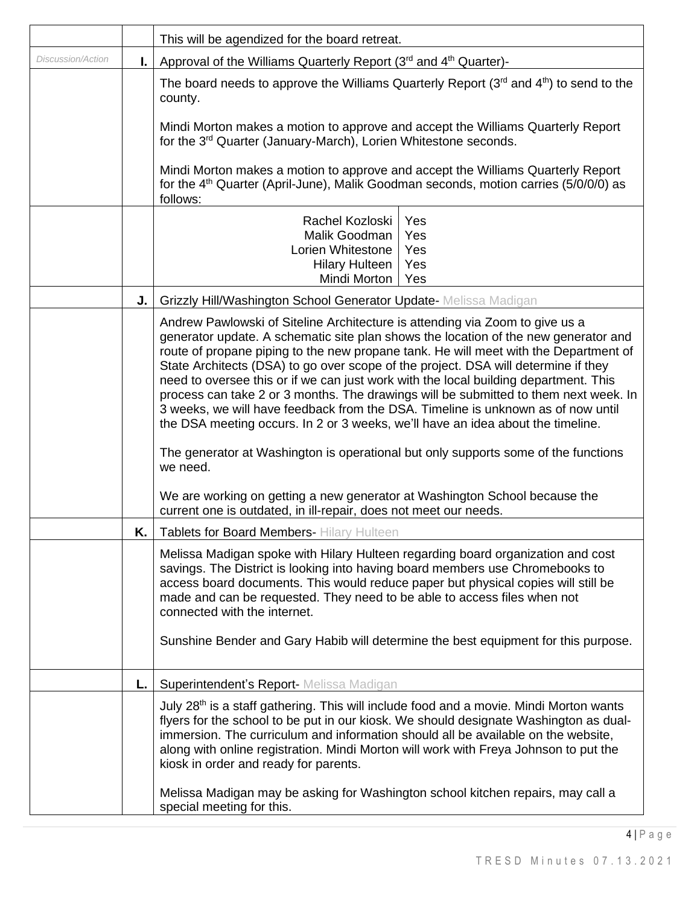|                          |                                                                              | This will be agendized for the board retreat.                                                                                                                                                                                                                                                                                                                                                                                                                                                                                                                                                                                                                                                            |  |
|--------------------------|------------------------------------------------------------------------------|----------------------------------------------------------------------------------------------------------------------------------------------------------------------------------------------------------------------------------------------------------------------------------------------------------------------------------------------------------------------------------------------------------------------------------------------------------------------------------------------------------------------------------------------------------------------------------------------------------------------------------------------------------------------------------------------------------|--|
| <b>Discussion/Action</b> | Approval of the Williams Quarterly Report (3rd and 4 <sup>th</sup> Quarter)- |                                                                                                                                                                                                                                                                                                                                                                                                                                                                                                                                                                                                                                                                                                          |  |
|                          |                                                                              | The board needs to approve the Williams Quarterly Report $(3^{rd}$ and $4^{th})$ to send to the<br>county.                                                                                                                                                                                                                                                                                                                                                                                                                                                                                                                                                                                               |  |
|                          |                                                                              | Mindi Morton makes a motion to approve and accept the Williams Quarterly Report<br>for the 3 <sup>rd</sup> Quarter (January-March), Lorien Whitestone seconds.                                                                                                                                                                                                                                                                                                                                                                                                                                                                                                                                           |  |
|                          |                                                                              | Mindi Morton makes a motion to approve and accept the Williams Quarterly Report<br>for the 4 <sup>th</sup> Quarter (April-June), Malik Goodman seconds, motion carries (5/0/0/0) as<br>follows:                                                                                                                                                                                                                                                                                                                                                                                                                                                                                                          |  |
|                          |                                                                              | Rachel Kozloski<br>Yes                                                                                                                                                                                                                                                                                                                                                                                                                                                                                                                                                                                                                                                                                   |  |
|                          |                                                                              | Malik Goodman<br>Yes                                                                                                                                                                                                                                                                                                                                                                                                                                                                                                                                                                                                                                                                                     |  |
|                          |                                                                              | Lorien Whitestone<br>Yes<br><b>Hilary Hulteen</b><br>Yes                                                                                                                                                                                                                                                                                                                                                                                                                                                                                                                                                                                                                                                 |  |
|                          |                                                                              | Mindi Morton<br>Yes                                                                                                                                                                                                                                                                                                                                                                                                                                                                                                                                                                                                                                                                                      |  |
|                          | J.                                                                           |                                                                                                                                                                                                                                                                                                                                                                                                                                                                                                                                                                                                                                                                                                          |  |
|                          |                                                                              | Grizzly Hill/Washington School Generator Update- Melissa Madigan                                                                                                                                                                                                                                                                                                                                                                                                                                                                                                                                                                                                                                         |  |
|                          |                                                                              | Andrew Pawlowski of Siteline Architecture is attending via Zoom to give us a<br>generator update. A schematic site plan shows the location of the new generator and<br>route of propane piping to the new propane tank. He will meet with the Department of<br>State Architects (DSA) to go over scope of the project. DSA will determine if they<br>need to oversee this or if we can just work with the local building department. This<br>process can take 2 or 3 months. The drawings will be submitted to them next week. In<br>3 weeks, we will have feedback from the DSA. Timeline is unknown as of now until<br>the DSA meeting occurs. In 2 or 3 weeks, we'll have an idea about the timeline. |  |
|                          |                                                                              | The generator at Washington is operational but only supports some of the functions<br>we need.                                                                                                                                                                                                                                                                                                                                                                                                                                                                                                                                                                                                           |  |
|                          |                                                                              | We are working on getting a new generator at Washington School because the<br>current one is outdated, in ill-repair, does not meet our needs.                                                                                                                                                                                                                                                                                                                                                                                                                                                                                                                                                           |  |
|                          |                                                                              | K.   Tablets for Board Members- Hilary Hulteen                                                                                                                                                                                                                                                                                                                                                                                                                                                                                                                                                                                                                                                           |  |
|                          |                                                                              | Melissa Madigan spoke with Hilary Hulteen regarding board organization and cost<br>savings. The District is looking into having board members use Chromebooks to<br>access board documents. This would reduce paper but physical copies will still be<br>made and can be requested. They need to be able to access files when not<br>connected with the internet.<br>Sunshine Bender and Gary Habib will determine the best equipment for this purpose.                                                                                                                                                                                                                                                  |  |
|                          | L.                                                                           | Superintendent's Report- Melissa Madigan                                                                                                                                                                                                                                                                                                                                                                                                                                                                                                                                                                                                                                                                 |  |
|                          |                                                                              | July $28th$ is a staff gathering. This will include food and a movie. Mindi Morton wants<br>flyers for the school to be put in our kiosk. We should designate Washington as dual-<br>immersion. The curriculum and information should all be available on the website,<br>along with online registration. Mindi Morton will work with Freya Johnson to put the<br>kiosk in order and ready for parents.                                                                                                                                                                                                                                                                                                  |  |
|                          |                                                                              | Melissa Madigan may be asking for Washington school kitchen repairs, may call a<br>special meeting for this.                                                                                                                                                                                                                                                                                                                                                                                                                                                                                                                                                                                             |  |

 $4 | P a g e$